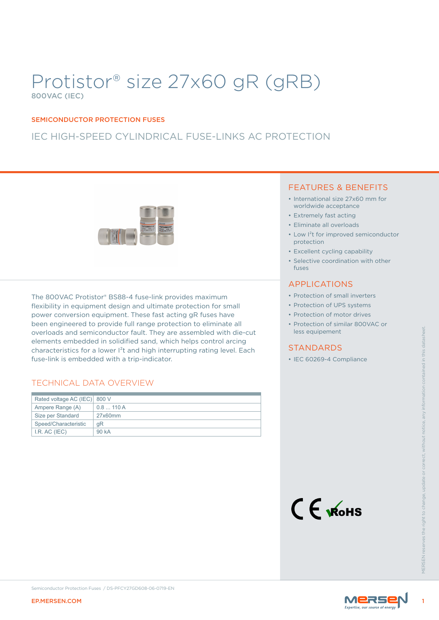# Protistor® size 27x60 gR (gRB) 800VAC (IEC)

#### SEMICONDUCTOR PROTECTION FUSES

### IEC HIGH-SPEED CYLINDRICAL FUSE-LINKS AC PROTECTION



The 800VAC Protistor® BS88-4 fuse-link provides maximum flexibility in equipment design and ultimate protection for small power conversion equipment. These fast acting gR fuses have been engineered to provide full range protection to eliminate all overloads and semiconductor fault. They are assembled with die-cut elements embedded in solidified sand, which helps control arcing characteristics for a lower I<sup>2</sup>t and high interrupting rating level. Each fuse-link is embedded with a trip-indicator.

#### TECHNICAL DATA OVERVIEW

| overloads and semiconductor fault. They are assembled with die-cut<br>elements embedded in solidified sand, which helps control arcing<br>characteristics for a lower I <sup>2</sup> t and high interrupting rating level. Each<br>fuse-link is embedded with a trip-indicator.<br><b>TECHNICAL DATA OVERVIEW</b> | less equipement<br><b>STANDARDS</b><br>• IEC 60269-4 Compliance |
|-------------------------------------------------------------------------------------------------------------------------------------------------------------------------------------------------------------------------------------------------------------------------------------------------------------------|-----------------------------------------------------------------|
| Rated voltage AC (IEC) 800 V                                                                                                                                                                                                                                                                                      |                                                                 |
| Ampere Range (A)<br>0.8110A                                                                                                                                                                                                                                                                                       |                                                                 |
| Size per Standard<br>27x60mm                                                                                                                                                                                                                                                                                      |                                                                 |
| Speed/Characteristic<br>gR                                                                                                                                                                                                                                                                                        |                                                                 |
| I.R. AC (IEC)<br>90 kA                                                                                                                                                                                                                                                                                            |                                                                 |
|                                                                                                                                                                                                                                                                                                                   | $C \n\in \mathcal{R}$ ohs<br><b>MFRSFN res</b>                  |
| Semiconductor Protection Fuses / DS-PFCY27GD608-06-0719-EN<br><b>EP.MERSEN.COM</b>                                                                                                                                                                                                                                | MERSE                                                           |

#### FEATURES & BENEFITS

- International size 27x60 mm for worldwide acceptance
- Extremely fast acting
- Eliminate all overloads
- Low I²t for improved semiconductor protection
- Excellent cycling capability
- Selective coordination with other fuses

#### APPLICATIONS

- Protection of small inverters
- Protection of UPS systems
- Protection of motor drives
- Protection of similar 800VAC or less equipement

#### STANDARDS



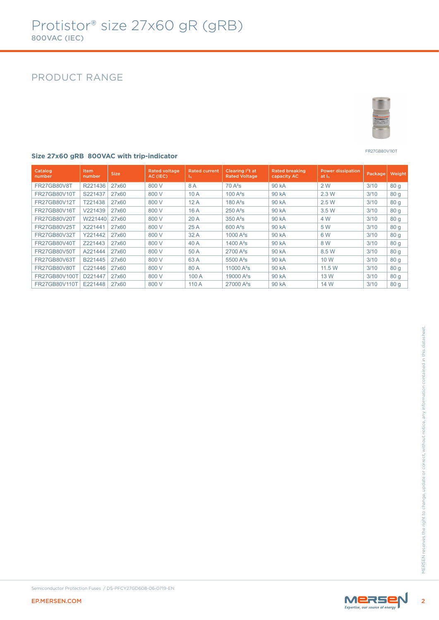### PRODUCT RANGE



#### FR27GB80V110T

#### **Size 27x60 gRB 800VAC with trip-indicator**

| Catalog<br>number  | <b>Item</b><br>number | <b>Size</b> | <b>Rated voltage</b><br>AC (IEC) | <b>Rated current</b><br>$\ln$ | Clearing I <sup>2</sup> t at<br><b>Rated Voltage</b> | <b>Rated breaking</b><br>capacity AC | <b>Power dissipation</b><br>at I <sub>n</sub> | Package, | Weight          |
|--------------------|-----------------------|-------------|----------------------------------|-------------------------------|------------------------------------------------------|--------------------------------------|-----------------------------------------------|----------|-----------------|
| <b>FR27GB80V8T</b> | R221436               | 27x60       | 800 V                            | 8A                            | $70A^2s$                                             | 90 kA                                | 2 W                                           | 3/10     | 80 <sub>g</sub> |
| FR27GB80V10T       | S221437               | 27x60       | 800 V                            | 10A                           | $100A^2s$                                            | 90 kA                                | 2.3 W                                         | 3/10     | 80 <sub>g</sub> |
| FR27GB80V12T       | T221438               | 27x60       | 800 V                            | 12A                           | $180A^2s$                                            | 90 kA                                | 2.5W                                          | 3/10     | 80 <sub>g</sub> |
| FR27GB80V16T       | V221439               | 27x60       | 800 V                            | 16A                           | $250A^2s$                                            | 90 kA                                | 3.5 W                                         | 3/10     | 80 <sub>g</sub> |
| FR27GB80V20T       | W221440               | 27x60       | 800 V                            | 20A                           | $350A^2s$                                            | 90 kA                                | 4 W                                           | 3/10     | 80 <sub>g</sub> |
| FR27GB80V25T       | X221441               | 27x60       | 800 V                            | 25A                           | $600 A^2s$                                           | 90 kA                                | 5 W                                           | 3/10     | 80 <sub>g</sub> |
| FR27GB80V32T       | Y221442               | 27x60       | 800 V                            | 32A                           | $1000A^2s$                                           | 90 kA                                | 6 W                                           | 3/10     | 80 <sub>g</sub> |
| FR27GB80V40T       | Z221443               | 27x60       | 800 V                            | 40 A                          | 1400 $A^2S$                                          | 90 kA                                | 8 W                                           | 3/10     | 80q             |
| FR27GB80V50T       | A221444               | 27x60       | 800 V                            | 50 A                          | $2700 A^2s$                                          | 90 kA                                | 8.5 W                                         | 3/10     | 80 <sub>g</sub> |
| FR27GB80V63T       | B221445               | 27x60       | 800 V                            | 63 A                          | 5500 $A^2s$                                          | 90 kA                                | 10 W                                          | 3/10     | 80 <sub>g</sub> |
| FR27GB80V80T       | C221446               | 27x60       | 800 V                            | 80 A                          | 11000 $A^2S$                                         | 90 kA                                | 11.5 W                                        | 3/10     | 80 <sub>g</sub> |
| FR27GB80V100T      | D221447               | 27x60       | 800 V                            | 100 A                         | 19000 $A^2S$                                         | 90 kA                                | 13 W                                          | 3/10     | 80q             |
| FR27GB80V110T      | E221448               | 27x60       | 800 V                            | 110 A                         | $27000 A^2s$                                         | 90 kA                                | 14 W                                          | 3/10     | 80 g            |

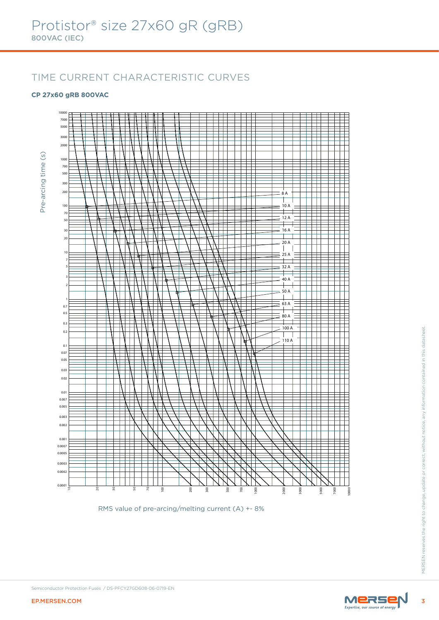## TIME CURRENT CHARACTERISTIC CURVES

#### **CP 27x60 gRB 800VAC**



RMS value of pre-arcing/melting current (A) +- 8%

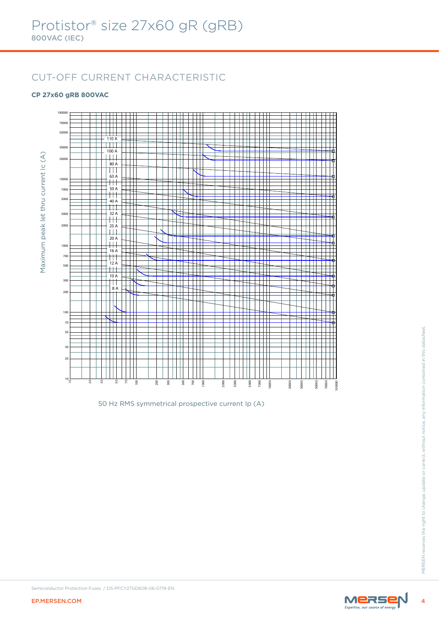# CUT-OFF CURRENT CHARACTERISTIC

#### **CP 27x60 gRB 800VAC**



50 Hz RMS symmetrical prospective current Ip (A)

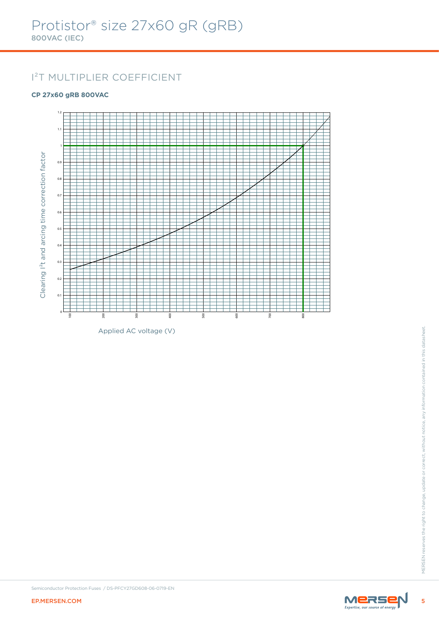# I²T MULTIPLIER COEFFICIENT

#### **CP 27x60 gRB 800VAC**



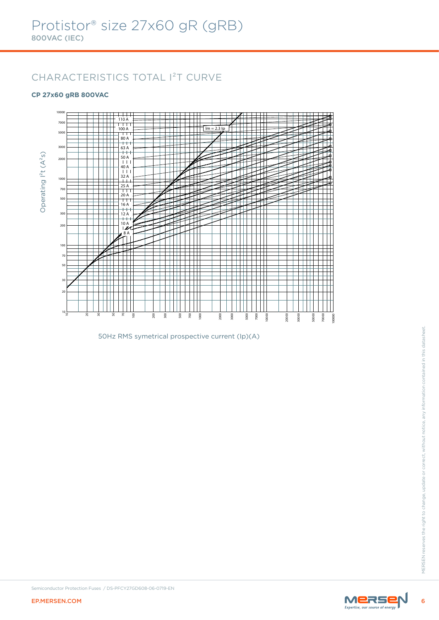# CHARACTERISTICS TOTAL I²T CURVE

#### **CP 27x60 gRB 800VAC**



50Hz RMS symetrical prospective current (Ip)(A)

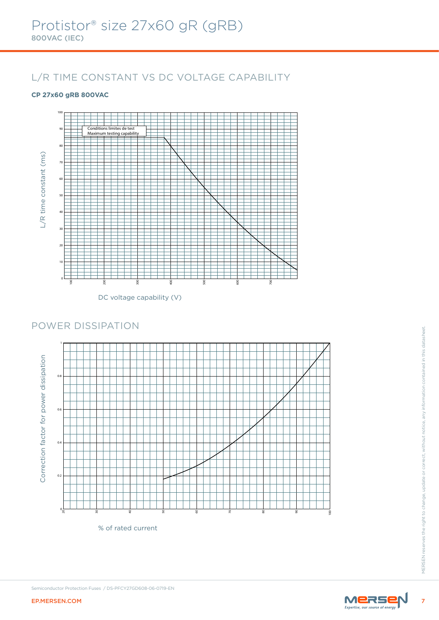# L/R TIME CONSTANT VS DC VOLTAGE CAPABILITY

#### **CP 27x60 gRB 800VAC**



DC voltage capability (V)

### POWER DISSIPATION



% of rated current

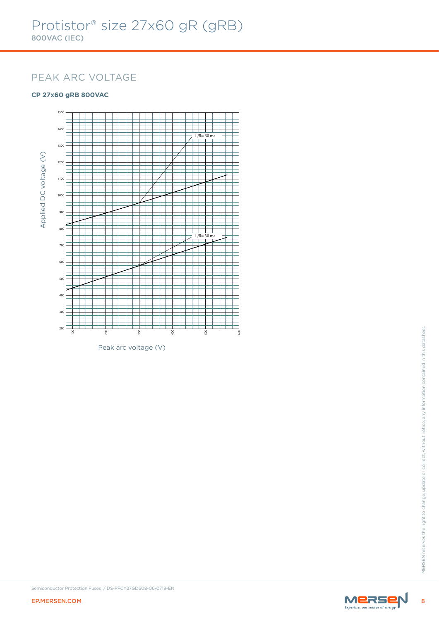### PEAK ARC VOLTAGE

#### **CP 27x60 gRB 800VAC**



Peak arc voltage (V)